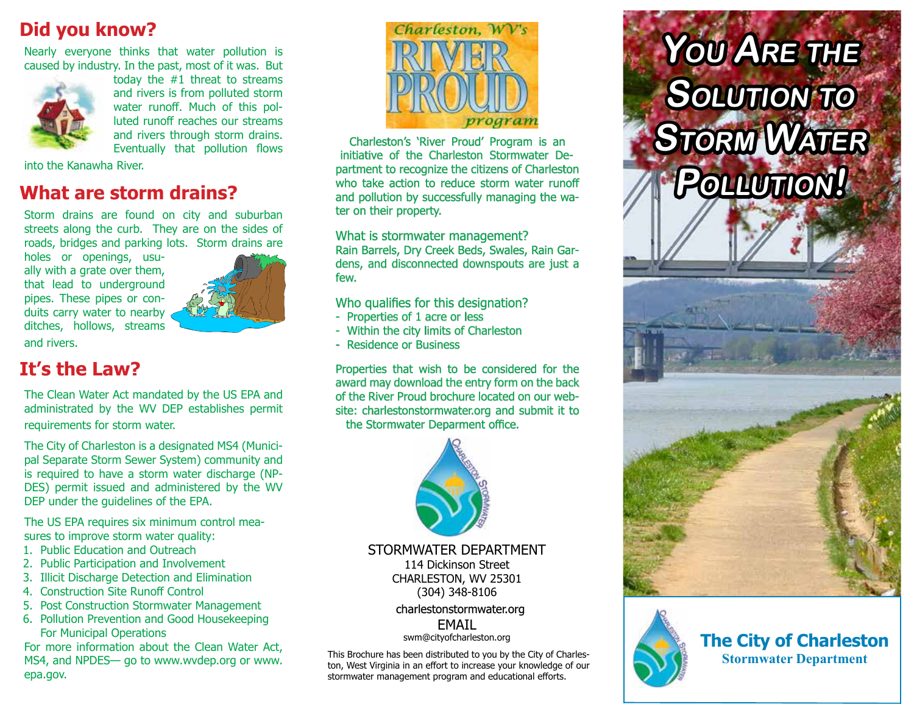## **Did you know?**

Nearly everyone thinks that water pollution is caused by industry. In the past, most of it was. But



today the #1 threat to streams and rivers is from polluted storm water runoff. Much of this polluted runoff reaches our streams and rivers through storm drains. Eventually that pollution flows

into the Kanawha River.

### **What are storm drains?**

Storm drains are found on city and suburban streets along the curb. They are on the sides of roads, bridges and parking lots. Storm drains are

holes or openings, usually with a grate over them, that lead to underground pipes. These pipes or conduits carry water to nearby ditches, hollows, streams



and rivers.

## **It's the Law?**

The Clean Water Act mandated by the US EPA and administrated by the WV DEP establishes permit requirements for storm water.

The City of Charleston is a designated MS4 (Municipal Separate Storm Sewer System) community and is required to have a storm water discharge (NP-DES) permit issued and administered by the WV DEP under the guidelines of the EPA.

The US EPA requires six minimum control measures to improve storm water quality:

- 1. Public Education and Outreach
- 2. Public Participation and Involvement
- 3. Illicit Discharge Detection and Elimination
- 4. Construction Site Runoff Control
- 5. Post Construction Stormwater Management
- 6. Pollution Prevention and Good Housekeeping For Municipal Operations

For more information about the Clean Water Act, MS4, and NPDES— go to www.wvdep.org or www. epa.gov.



Charleston's 'River Proud' Program is an initiative of the Charleston Stormwater Department to recognize the citizens of Charleston who take action to reduce storm water runoff and pollution by successfully managing the water on their property.

#### What is stormwater management?

Rain Barrels, Dry Creek Beds, Swales, Rain Gardens, and disconnected downspouts are just a few.

Who qualifies for this designation?

- Properties of 1 acre or less
- Within the city limits of Charleston
- Residence or Business

Properties that wish to be considered for the award may download the entry form on the back of the River Proud brochure located on our website: charlestonstormwater.org and submit it to the Stormwater Deparment office.



STORMWATER DEPARTMENT 114 Dickinson Street CHARLESTON, WV 25301 (304) 348-8106

#### charlestonstormwater.org EMAIL

swm@cityofcharleston.org

This Brochure has been distributed to you by the City of Charleston, West Virginia in an effort to increase your knowledge of our stormwater management program and educational efforts.

# **You Are the Solution to**   $S$ *TORM* WATER **Pollution!**





**The City of Charleston Stormwater Department**